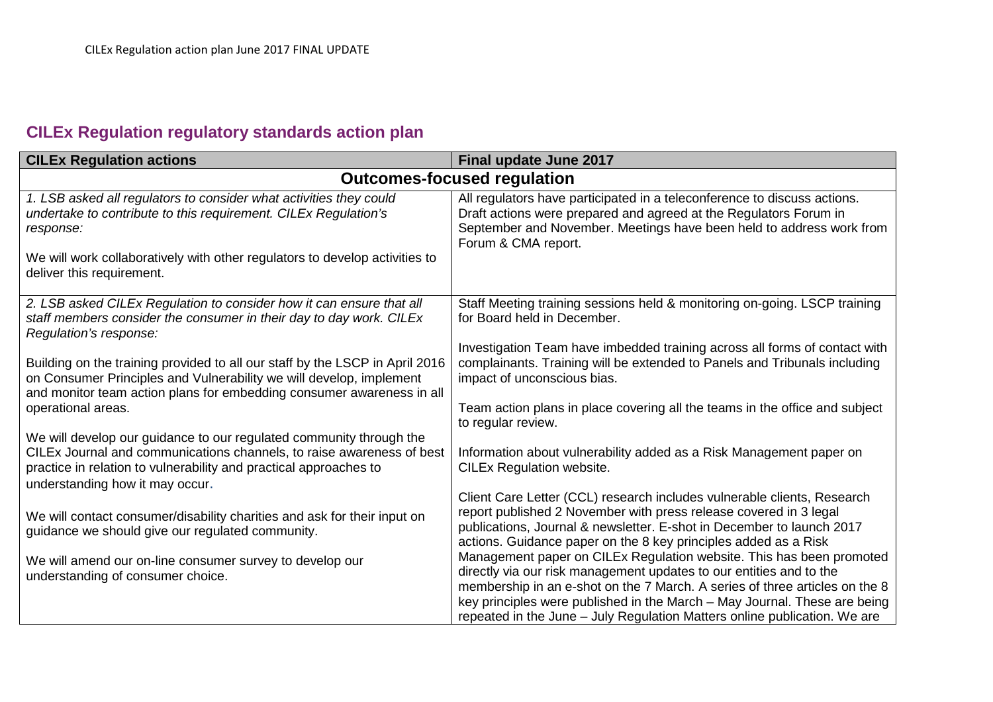## **CILEx Regulation regulatory standards action plan**

| <b>CILEx Regulation actions</b>                                                                                                                                                                                                                      | Final update June 2017                                                                                                                                                                                                                                                                                                                                                               |  |
|------------------------------------------------------------------------------------------------------------------------------------------------------------------------------------------------------------------------------------------------------|--------------------------------------------------------------------------------------------------------------------------------------------------------------------------------------------------------------------------------------------------------------------------------------------------------------------------------------------------------------------------------------|--|
| <b>Outcomes-focused regulation</b>                                                                                                                                                                                                                   |                                                                                                                                                                                                                                                                                                                                                                                      |  |
| 1. LSB asked all regulators to consider what activities they could<br>undertake to contribute to this requirement. CILEx Regulation's<br>response:                                                                                                   | All regulators have participated in a teleconference to discuss actions.<br>Draft actions were prepared and agreed at the Regulators Forum in<br>September and November. Meetings have been held to address work from<br>Forum & CMA report.                                                                                                                                         |  |
| We will work collaboratively with other regulators to develop activities to<br>deliver this requirement.                                                                                                                                             |                                                                                                                                                                                                                                                                                                                                                                                      |  |
| 2. LSB asked CILEx Regulation to consider how it can ensure that all<br>staff members consider the consumer in their day to day work. CILEx<br>Regulation's response:                                                                                | Staff Meeting training sessions held & monitoring on-going. LSCP training<br>for Board held in December.                                                                                                                                                                                                                                                                             |  |
| Building on the training provided to all our staff by the LSCP in April 2016<br>on Consumer Principles and Vulnerability we will develop, implement<br>and monitor team action plans for embedding consumer awareness in all                         | Investigation Team have imbedded training across all forms of contact with<br>complainants. Training will be extended to Panels and Tribunals including<br>impact of unconscious bias.                                                                                                                                                                                               |  |
| operational areas.                                                                                                                                                                                                                                   | Team action plans in place covering all the teams in the office and subject<br>to regular review.                                                                                                                                                                                                                                                                                    |  |
| We will develop our guidance to our regulated community through the<br>CILEx Journal and communications channels, to raise awareness of best<br>practice in relation to vulnerability and practical approaches to<br>understanding how it may occur. | Information about vulnerability added as a Risk Management paper on<br><b>CILEx Regulation website.</b>                                                                                                                                                                                                                                                                              |  |
| We will contact consumer/disability charities and ask for their input on                                                                                                                                                                             | Client Care Letter (CCL) research includes vulnerable clients, Research<br>report published 2 November with press release covered in 3 legal                                                                                                                                                                                                                                         |  |
| guidance we should give our regulated community.                                                                                                                                                                                                     | publications, Journal & newsletter. E-shot in December to launch 2017<br>actions. Guidance paper on the 8 key principles added as a Risk                                                                                                                                                                                                                                             |  |
| We will amend our on-line consumer survey to develop our<br>understanding of consumer choice.                                                                                                                                                        | Management paper on CILEx Regulation website. This has been promoted<br>directly via our risk management updates to our entities and to the<br>membership in an e-shot on the 7 March. A series of three articles on the 8<br>key principles were published in the March – May Journal. These are being<br>repeated in the June - July Regulation Matters online publication. We are |  |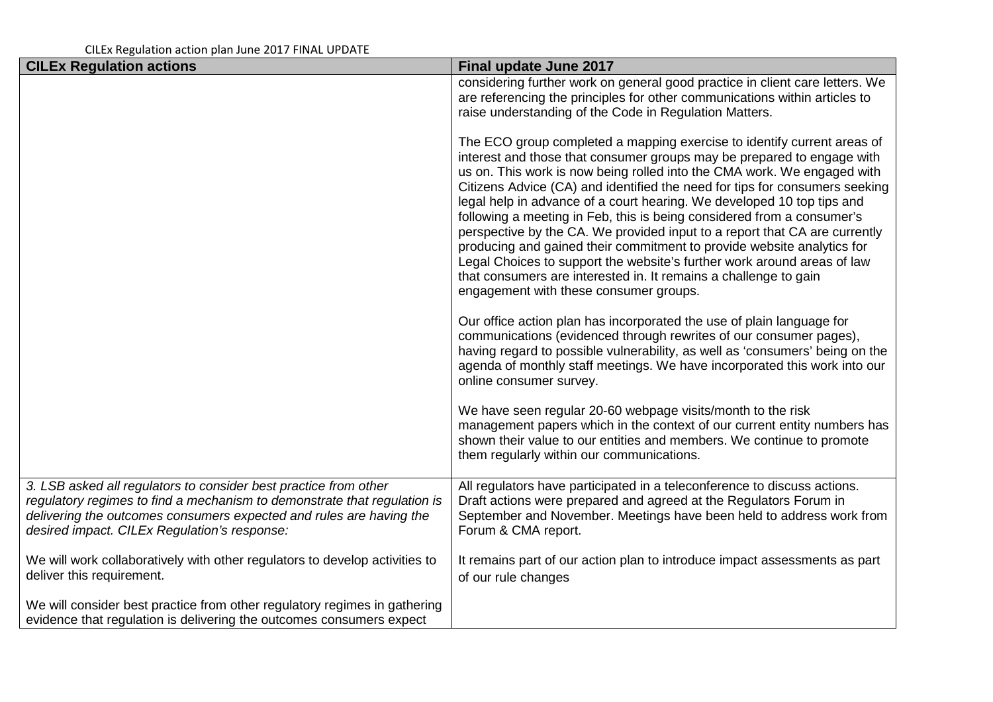| <b>CILEx Regulation actions</b>                                                                                                                                                                                                                                     | <b>Final update June 2017</b>                                                                                                                                                                                                                                                                                                                                                                                                                                                                                                                                                                                                                                                                                                                                                                                    |
|---------------------------------------------------------------------------------------------------------------------------------------------------------------------------------------------------------------------------------------------------------------------|------------------------------------------------------------------------------------------------------------------------------------------------------------------------------------------------------------------------------------------------------------------------------------------------------------------------------------------------------------------------------------------------------------------------------------------------------------------------------------------------------------------------------------------------------------------------------------------------------------------------------------------------------------------------------------------------------------------------------------------------------------------------------------------------------------------|
|                                                                                                                                                                                                                                                                     | considering further work on general good practice in client care letters. We<br>are referencing the principles for other communications within articles to<br>raise understanding of the Code in Regulation Matters.                                                                                                                                                                                                                                                                                                                                                                                                                                                                                                                                                                                             |
|                                                                                                                                                                                                                                                                     | The ECO group completed a mapping exercise to identify current areas of<br>interest and those that consumer groups may be prepared to engage with<br>us on. This work is now being rolled into the CMA work. We engaged with<br>Citizens Advice (CA) and identified the need for tips for consumers seeking<br>legal help in advance of a court hearing. We developed 10 top tips and<br>following a meeting in Feb, this is being considered from a consumer's<br>perspective by the CA. We provided input to a report that CA are currently<br>producing and gained their commitment to provide website analytics for<br>Legal Choices to support the website's further work around areas of law<br>that consumers are interested in. It remains a challenge to gain<br>engagement with these consumer groups. |
|                                                                                                                                                                                                                                                                     | Our office action plan has incorporated the use of plain language for<br>communications (evidenced through rewrites of our consumer pages),<br>having regard to possible vulnerability, as well as 'consumers' being on the<br>agenda of monthly staff meetings. We have incorporated this work into our<br>online consumer survey.                                                                                                                                                                                                                                                                                                                                                                                                                                                                              |
|                                                                                                                                                                                                                                                                     | We have seen regular 20-60 webpage visits/month to the risk<br>management papers which in the context of our current entity numbers has<br>shown their value to our entities and members. We continue to promote<br>them regularly within our communications.                                                                                                                                                                                                                                                                                                                                                                                                                                                                                                                                                    |
| 3. LSB asked all regulators to consider best practice from other<br>regulatory regimes to find a mechanism to demonstrate that regulation is<br>delivering the outcomes consumers expected and rules are having the<br>desired impact. CILEx Regulation's response: | All regulators have participated in a teleconference to discuss actions.<br>Draft actions were prepared and agreed at the Regulators Forum in<br>September and November. Meetings have been held to address work from<br>Forum & CMA report.                                                                                                                                                                                                                                                                                                                                                                                                                                                                                                                                                                     |
| We will work collaboratively with other regulators to develop activities to<br>deliver this requirement.                                                                                                                                                            | It remains part of our action plan to introduce impact assessments as part<br>of our rule changes                                                                                                                                                                                                                                                                                                                                                                                                                                                                                                                                                                                                                                                                                                                |
| We will consider best practice from other regulatory regimes in gathering<br>evidence that regulation is delivering the outcomes consumers expect                                                                                                                   |                                                                                                                                                                                                                                                                                                                                                                                                                                                                                                                                                                                                                                                                                                                                                                                                                  |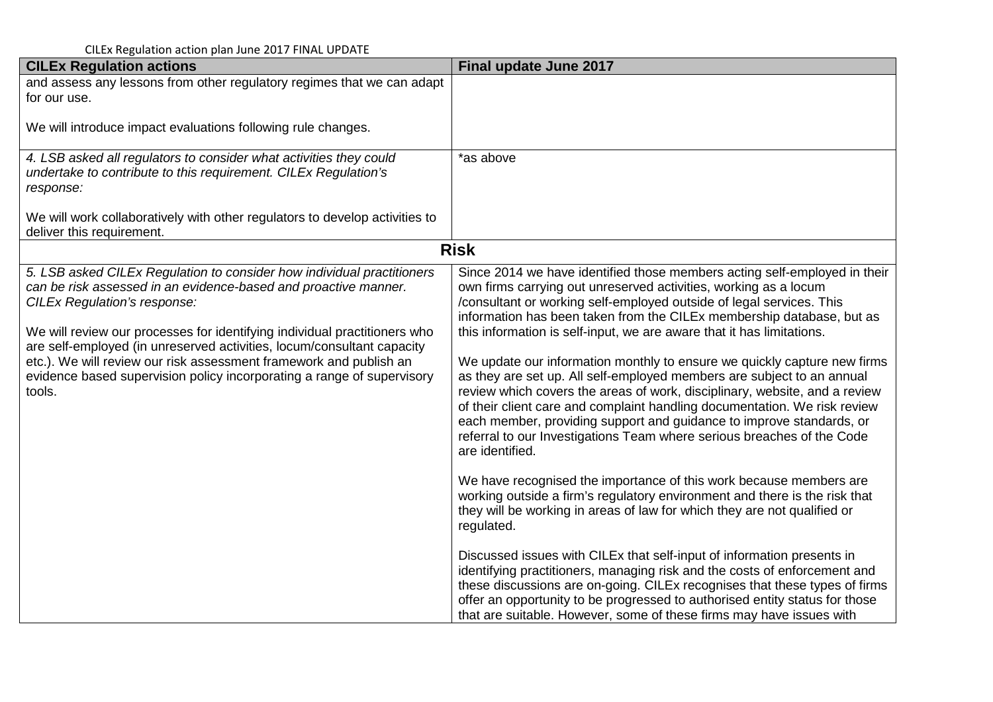| <b>CILEx Regulation actions</b>                                                                                                                                                                                                                                                                                                                                                                                                                                                                   | Final update June 2017                                                                                                                                                                                                                                                                                                                                                                                                                                                                                                                                                                                                                                                                                                                                                                                                                                        |
|---------------------------------------------------------------------------------------------------------------------------------------------------------------------------------------------------------------------------------------------------------------------------------------------------------------------------------------------------------------------------------------------------------------------------------------------------------------------------------------------------|---------------------------------------------------------------------------------------------------------------------------------------------------------------------------------------------------------------------------------------------------------------------------------------------------------------------------------------------------------------------------------------------------------------------------------------------------------------------------------------------------------------------------------------------------------------------------------------------------------------------------------------------------------------------------------------------------------------------------------------------------------------------------------------------------------------------------------------------------------------|
| and assess any lessons from other regulatory regimes that we can adapt<br>for our use.                                                                                                                                                                                                                                                                                                                                                                                                            |                                                                                                                                                                                                                                                                                                                                                                                                                                                                                                                                                                                                                                                                                                                                                                                                                                                               |
| We will introduce impact evaluations following rule changes.                                                                                                                                                                                                                                                                                                                                                                                                                                      |                                                                                                                                                                                                                                                                                                                                                                                                                                                                                                                                                                                                                                                                                                                                                                                                                                                               |
| 4. LSB asked all regulators to consider what activities they could<br>undertake to contribute to this requirement. CILEx Regulation's<br>response:                                                                                                                                                                                                                                                                                                                                                | *as above                                                                                                                                                                                                                                                                                                                                                                                                                                                                                                                                                                                                                                                                                                                                                                                                                                                     |
| We will work collaboratively with other regulators to develop activities to<br>deliver this requirement.                                                                                                                                                                                                                                                                                                                                                                                          |                                                                                                                                                                                                                                                                                                                                                                                                                                                                                                                                                                                                                                                                                                                                                                                                                                                               |
| <b>Risk</b>                                                                                                                                                                                                                                                                                                                                                                                                                                                                                       |                                                                                                                                                                                                                                                                                                                                                                                                                                                                                                                                                                                                                                                                                                                                                                                                                                                               |
| 5. LSB asked CILEx Regulation to consider how individual practitioners<br>can be risk assessed in an evidence-based and proactive manner.<br><b>CILEx Regulation's response:</b><br>We will review our processes for identifying individual practitioners who<br>are self-employed (in unreserved activities, locum/consultant capacity<br>etc.). We will review our risk assessment framework and publish an<br>evidence based supervision policy incorporating a range of supervisory<br>tools. | Since 2014 we have identified those members acting self-employed in their<br>own firms carrying out unreserved activities, working as a locum<br>/consultant or working self-employed outside of legal services. This<br>information has been taken from the CILEx membership database, but as<br>this information is self-input, we are aware that it has limitations.<br>We update our information monthly to ensure we quickly capture new firms<br>as they are set up. All self-employed members are subject to an annual<br>review which covers the areas of work, disciplinary, website, and a review<br>of their client care and complaint handling documentation. We risk review<br>each member, providing support and guidance to improve standards, or<br>referral to our Investigations Team where serious breaches of the Code<br>are identified. |
|                                                                                                                                                                                                                                                                                                                                                                                                                                                                                                   | We have recognised the importance of this work because members are<br>working outside a firm's regulatory environment and there is the risk that<br>they will be working in areas of law for which they are not qualified or<br>regulated.<br>Discussed issues with CILEx that self-input of information presents in<br>identifying practitioners, managing risk and the costs of enforcement and<br>these discussions are on-going. CILEx recognises that these types of firms                                                                                                                                                                                                                                                                                                                                                                               |
|                                                                                                                                                                                                                                                                                                                                                                                                                                                                                                   | offer an opportunity to be progressed to authorised entity status for those<br>that are suitable. However, some of these firms may have issues with                                                                                                                                                                                                                                                                                                                                                                                                                                                                                                                                                                                                                                                                                                           |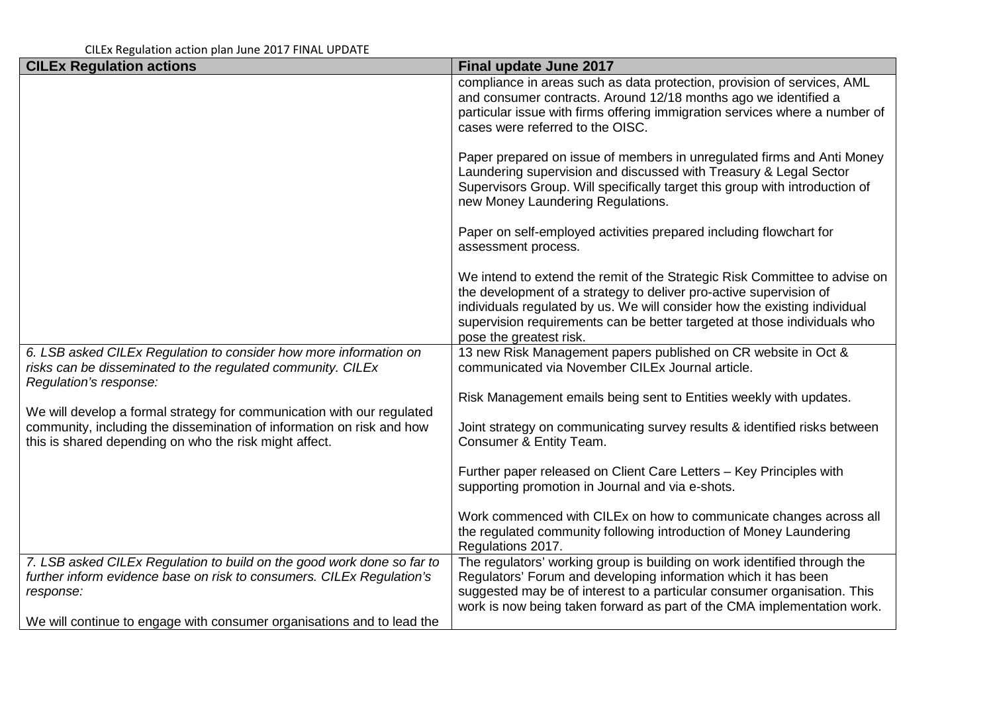| <b>CILEx Regulation actions</b>                                                                                                                              | Final update June 2017                                                                                                                                                                                                                                                                                                               |
|--------------------------------------------------------------------------------------------------------------------------------------------------------------|--------------------------------------------------------------------------------------------------------------------------------------------------------------------------------------------------------------------------------------------------------------------------------------------------------------------------------------|
|                                                                                                                                                              | compliance in areas such as data protection, provision of services, AML<br>and consumer contracts. Around 12/18 months ago we identified a<br>particular issue with firms offering immigration services where a number of<br>cases were referred to the OISC.                                                                        |
|                                                                                                                                                              | Paper prepared on issue of members in unregulated firms and Anti Money<br>Laundering supervision and discussed with Treasury & Legal Sector<br>Supervisors Group. Will specifically target this group with introduction of<br>new Money Laundering Regulations.                                                                      |
|                                                                                                                                                              | Paper on self-employed activities prepared including flowchart for<br>assessment process.                                                                                                                                                                                                                                            |
|                                                                                                                                                              | We intend to extend the remit of the Strategic Risk Committee to advise on<br>the development of a strategy to deliver pro-active supervision of<br>individuals regulated by us. We will consider how the existing individual<br>supervision requirements can be better targeted at those individuals who<br>pose the greatest risk. |
| 6. LSB asked CILEx Regulation to consider how more information on<br>risks can be disseminated to the regulated community. CILEx<br>Regulation's response:   | 13 new Risk Management papers published on CR website in Oct &<br>communicated via November CILEx Journal article.                                                                                                                                                                                                                   |
| We will develop a formal strategy for communication with our regulated                                                                                       | Risk Management emails being sent to Entities weekly with updates.                                                                                                                                                                                                                                                                   |
| community, including the dissemination of information on risk and how<br>this is shared depending on who the risk might affect.                              | Joint strategy on communicating survey results & identified risks between<br>Consumer & Entity Team.                                                                                                                                                                                                                                 |
|                                                                                                                                                              | Further paper released on Client Care Letters - Key Principles with<br>supporting promotion in Journal and via e-shots.                                                                                                                                                                                                              |
|                                                                                                                                                              | Work commenced with CILEx on how to communicate changes across all<br>the regulated community following introduction of Money Laundering<br>Regulations 2017.                                                                                                                                                                        |
| 7. LSB asked CILEx Regulation to build on the good work done so far to<br>further inform evidence base on risk to consumers. CILEx Regulation's<br>response: | The regulators' working group is building on work identified through the<br>Regulators' Forum and developing information which it has been<br>suggested may be of interest to a particular consumer organisation. This<br>work is now being taken forward as part of the CMA implementation work.                                    |
| We will continue to engage with consumer organisations and to lead the                                                                                       |                                                                                                                                                                                                                                                                                                                                      |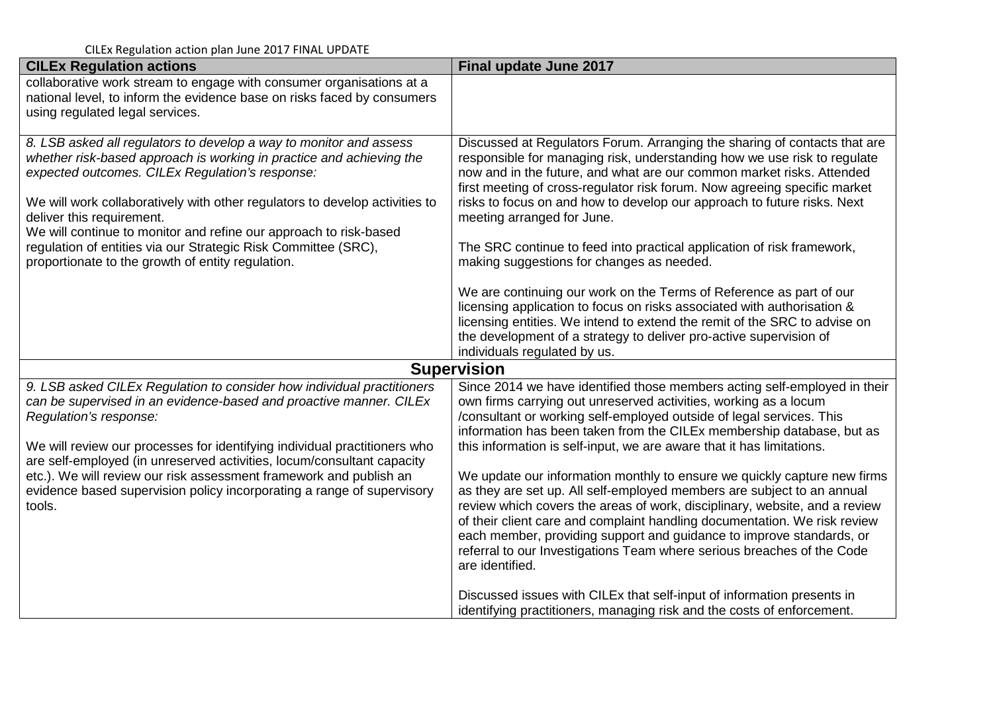| <b>CILEx Regulation actions</b>                                                                                                                                                                                                                                                                                                                                                                                                                                                                       | Final update June 2017                                                                                                                                                                                                                                                                                                                                                                                                                                                                                                                                                                                                                                                                                                                                                                                                                                                           |
|-------------------------------------------------------------------------------------------------------------------------------------------------------------------------------------------------------------------------------------------------------------------------------------------------------------------------------------------------------------------------------------------------------------------------------------------------------------------------------------------------------|----------------------------------------------------------------------------------------------------------------------------------------------------------------------------------------------------------------------------------------------------------------------------------------------------------------------------------------------------------------------------------------------------------------------------------------------------------------------------------------------------------------------------------------------------------------------------------------------------------------------------------------------------------------------------------------------------------------------------------------------------------------------------------------------------------------------------------------------------------------------------------|
| collaborative work stream to engage with consumer organisations at a<br>national level, to inform the evidence base on risks faced by consumers<br>using regulated legal services.                                                                                                                                                                                                                                                                                                                    |                                                                                                                                                                                                                                                                                                                                                                                                                                                                                                                                                                                                                                                                                                                                                                                                                                                                                  |
| 8. LSB asked all regulators to develop a way to monitor and assess<br>whether risk-based approach is working in practice and achieving the<br>expected outcomes. CILEx Regulation's response:<br>We will work collaboratively with other regulators to develop activities to<br>deliver this requirement.<br>We will continue to monitor and refine our approach to risk-based<br>regulation of entities via our Strategic Risk Committee (SRC),<br>proportionate to the growth of entity regulation. | Discussed at Regulators Forum. Arranging the sharing of contacts that are<br>responsible for managing risk, understanding how we use risk to regulate<br>now and in the future, and what are our common market risks. Attended<br>first meeting of cross-regulator risk forum. Now agreeing specific market<br>risks to focus on and how to develop our approach to future risks. Next<br>meeting arranged for June.<br>The SRC continue to feed into practical application of risk framework,<br>making suggestions for changes as needed.<br>We are continuing our work on the Terms of Reference as part of our<br>licensing application to focus on risks associated with authorisation &<br>licensing entities. We intend to extend the remit of the SRC to advise on<br>the development of a strategy to deliver pro-active supervision of<br>individuals regulated by us. |
|                                                                                                                                                                                                                                                                                                                                                                                                                                                                                                       | <b>Supervision</b>                                                                                                                                                                                                                                                                                                                                                                                                                                                                                                                                                                                                                                                                                                                                                                                                                                                               |
| 9. LSB asked CILEx Regulation to consider how individual practitioners<br>can be supervised in an evidence-based and proactive manner. CILEx<br>Regulation's response:<br>We will review our processes for identifying individual practitioners who<br>are self-employed (in unreserved activities, locum/consultant capacity<br>etc.). We will review our risk assessment framework and publish an<br>evidence based supervision policy incorporating a range of supervisory<br>tools.               | Since 2014 we have identified those members acting self-employed in their<br>own firms carrying out unreserved activities, working as a locum<br>/consultant or working self-employed outside of legal services. This<br>information has been taken from the CILEx membership database, but as<br>this information is self-input, we are aware that it has limitations.<br>We update our information monthly to ensure we quickly capture new firms<br>as they are set up. All self-employed members are subject to an annual<br>review which covers the areas of work, disciplinary, website, and a review<br>of their client care and complaint handling documentation. We risk review<br>each member, providing support and guidance to improve standards, or<br>referral to our Investigations Team where serious breaches of the Code<br>are identified.                    |
|                                                                                                                                                                                                                                                                                                                                                                                                                                                                                                       | Discussed issues with CILEx that self-input of information presents in<br>identifying practitioners, managing risk and the costs of enforcement.                                                                                                                                                                                                                                                                                                                                                                                                                                                                                                                                                                                                                                                                                                                                 |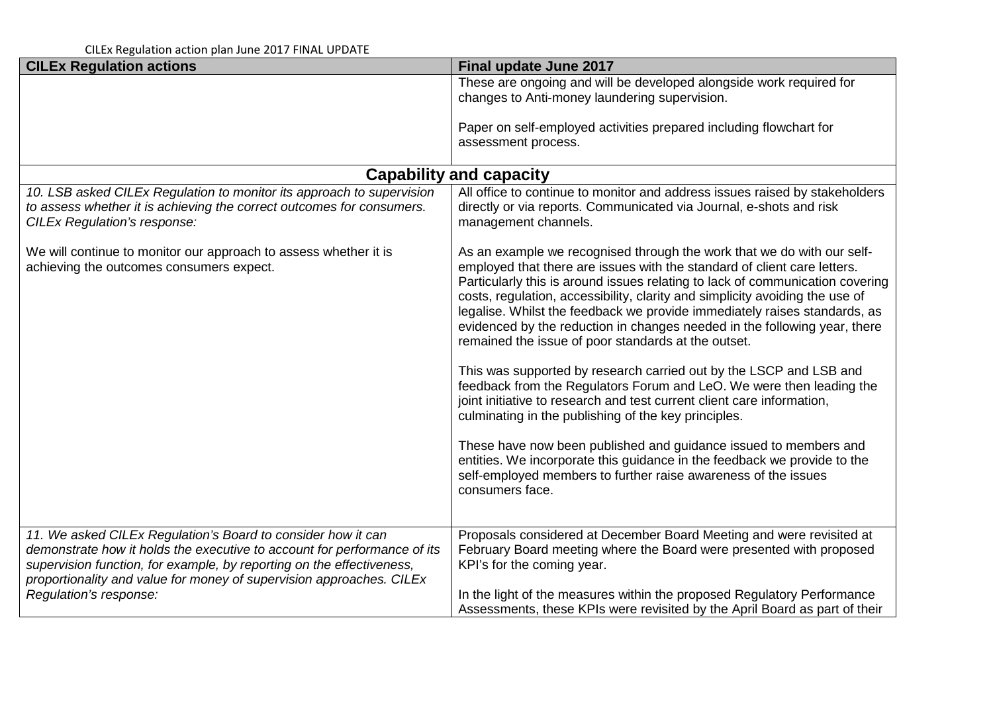| <b>CILEx Regulation actions</b>                                                                                                                                                                                                                                                           | Final update June 2017                                                                                                                                                                                                                                                                                                                                                                                                                                                                                                                                                                                                                                                                                                                                                                                                                                                                                                                                                                                                                 |  |
|-------------------------------------------------------------------------------------------------------------------------------------------------------------------------------------------------------------------------------------------------------------------------------------------|----------------------------------------------------------------------------------------------------------------------------------------------------------------------------------------------------------------------------------------------------------------------------------------------------------------------------------------------------------------------------------------------------------------------------------------------------------------------------------------------------------------------------------------------------------------------------------------------------------------------------------------------------------------------------------------------------------------------------------------------------------------------------------------------------------------------------------------------------------------------------------------------------------------------------------------------------------------------------------------------------------------------------------------|--|
|                                                                                                                                                                                                                                                                                           | These are ongoing and will be developed alongside work required for<br>changes to Anti-money laundering supervision.                                                                                                                                                                                                                                                                                                                                                                                                                                                                                                                                                                                                                                                                                                                                                                                                                                                                                                                   |  |
|                                                                                                                                                                                                                                                                                           | Paper on self-employed activities prepared including flowchart for<br>assessment process.                                                                                                                                                                                                                                                                                                                                                                                                                                                                                                                                                                                                                                                                                                                                                                                                                                                                                                                                              |  |
| <b>Capability and capacity</b>                                                                                                                                                                                                                                                            |                                                                                                                                                                                                                                                                                                                                                                                                                                                                                                                                                                                                                                                                                                                                                                                                                                                                                                                                                                                                                                        |  |
| 10. LSB asked CILEx Regulation to monitor its approach to supervision<br>to assess whether it is achieving the correct outcomes for consumers.<br><b>CILEx Regulation's response:</b>                                                                                                     | All office to continue to monitor and address issues raised by stakeholders<br>directly or via reports. Communicated via Journal, e-shots and risk<br>management channels.                                                                                                                                                                                                                                                                                                                                                                                                                                                                                                                                                                                                                                                                                                                                                                                                                                                             |  |
| We will continue to monitor our approach to assess whether it is<br>achieving the outcomes consumers expect.                                                                                                                                                                              | As an example we recognised through the work that we do with our self-<br>employed that there are issues with the standard of client care letters.<br>Particularly this is around issues relating to lack of communication covering<br>costs, regulation, accessibility, clarity and simplicity avoiding the use of<br>legalise. Whilst the feedback we provide immediately raises standards, as<br>evidenced by the reduction in changes needed in the following year, there<br>remained the issue of poor standards at the outset.<br>This was supported by research carried out by the LSCP and LSB and<br>feedback from the Regulators Forum and LeO. We were then leading the<br>joint initiative to research and test current client care information,<br>culminating in the publishing of the key principles.<br>These have now been published and guidance issued to members and<br>entities. We incorporate this guidance in the feedback we provide to the<br>self-employed members to further raise awareness of the issues |  |
|                                                                                                                                                                                                                                                                                           | consumers face.                                                                                                                                                                                                                                                                                                                                                                                                                                                                                                                                                                                                                                                                                                                                                                                                                                                                                                                                                                                                                        |  |
| 11. We asked CILEx Regulation's Board to consider how it can<br>demonstrate how it holds the executive to account for performance of its<br>supervision function, for example, by reporting on the effectiveness,<br>proportionality and value for money of supervision approaches. CILEx | Proposals considered at December Board Meeting and were revisited at<br>February Board meeting where the Board were presented with proposed<br>KPI's for the coming year.                                                                                                                                                                                                                                                                                                                                                                                                                                                                                                                                                                                                                                                                                                                                                                                                                                                              |  |
| Regulation's response:                                                                                                                                                                                                                                                                    | In the light of the measures within the proposed Regulatory Performance<br>Assessments, these KPIs were revisited by the April Board as part of their                                                                                                                                                                                                                                                                                                                                                                                                                                                                                                                                                                                                                                                                                                                                                                                                                                                                                  |  |